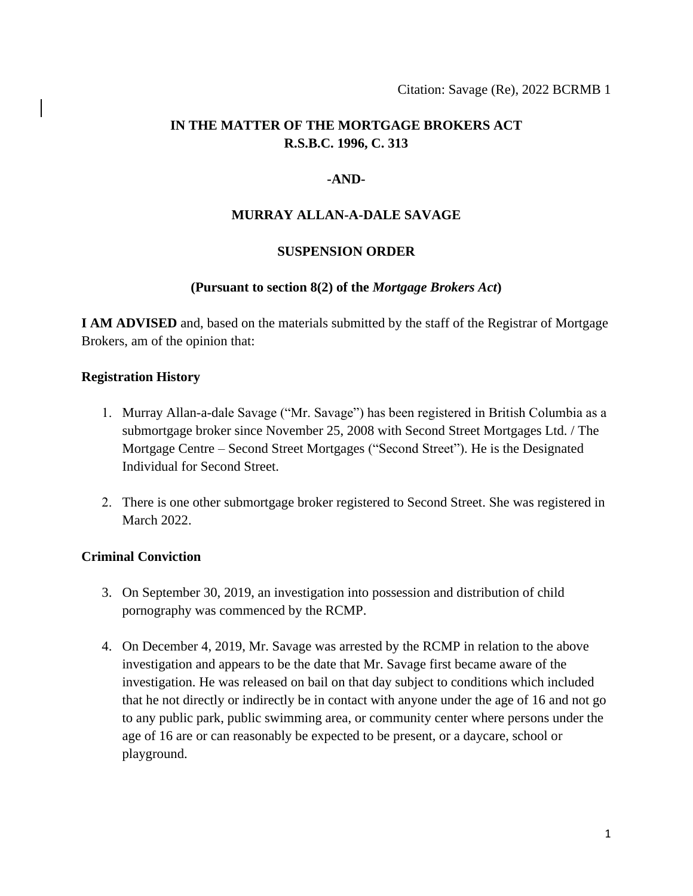Citation: Savage (Re), 2022 BCRMB 1

# **IN THE MATTER OF THE MORTGAGE BROKERS ACT R.S.B.C. 1996, C. 313**

## **-AND-**

## **MURRAY ALLAN-A-DALE SAVAGE**

## **SUSPENSION ORDER**

#### **(Pursuant to section 8(2) of the** *Mortgage Brokers Act***)**

**I AM ADVISED** and, based on the materials submitted by the staff of the Registrar of Mortgage Brokers, am of the opinion that:

## **Registration History**

- 1. Murray Allan-a-dale Savage ("Mr. Savage") has been registered in British Columbia as a submortgage broker since November 25, 2008 with Second Street Mortgages Ltd. / The Mortgage Centre – Second Street Mortgages ("Second Street"). He is the Designated Individual for Second Street.
- 2. There is one other submortgage broker registered to Second Street. She was registered in March 2022.

## **Criminal Conviction**

- 3. On September 30, 2019, an investigation into possession and distribution of child pornography was commenced by the RCMP.
- 4. On December 4, 2019, Mr. Savage was arrested by the RCMP in relation to the above investigation and appears to be the date that Mr. Savage first became aware of the investigation. He was released on bail on that day subject to conditions which included that he not directly or indirectly be in contact with anyone under the age of 16 and not go to any public park, public swimming area, or community center where persons under the age of 16 are or can reasonably be expected to be present, or a daycare, school or playground.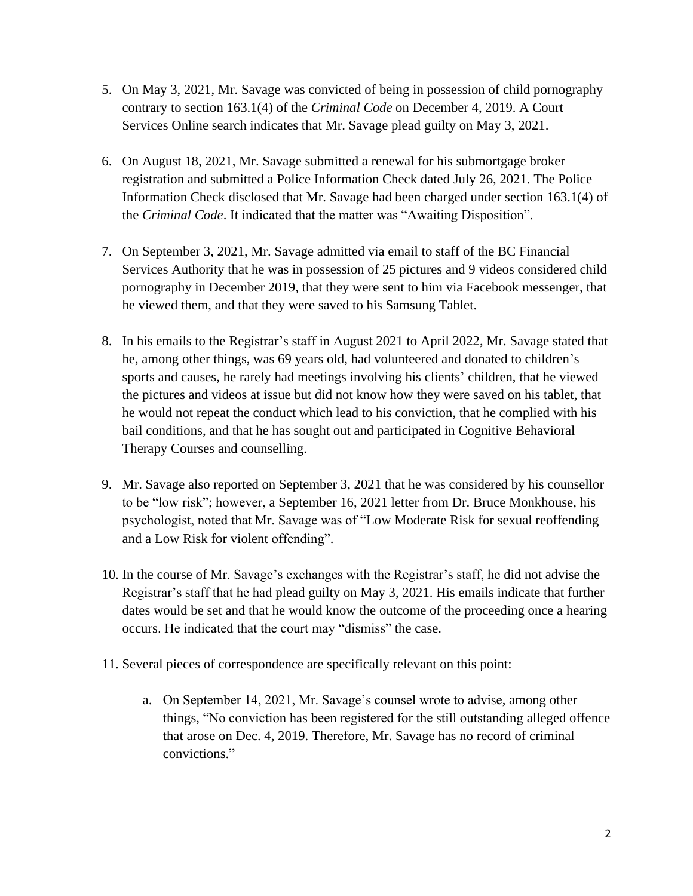- 5. On May 3, 2021, Mr. Savage was convicted of being in possession of child pornography contrary to section 163.1(4) of the *Criminal Code* on December 4, 2019. A Court Services Online search indicates that Mr. Savage plead guilty on May 3, 2021.
- 6. On August 18, 2021, Mr. Savage submitted a renewal for his submortgage broker registration and submitted a Police Information Check dated July 26, 2021. The Police Information Check disclosed that Mr. Savage had been charged under section 163.1(4) of the *Criminal Code*. It indicated that the matter was "Awaiting Disposition".
- 7. On September 3, 2021, Mr. Savage admitted via email to staff of the BC Financial Services Authority that he was in possession of 25 pictures and 9 videos considered child pornography in December 2019, that they were sent to him via Facebook messenger, that he viewed them, and that they were saved to his Samsung Tablet.
- 8. In his emails to the Registrar's staff in August 2021 to April 2022, Mr. Savage stated that he, among other things, was 69 years old, had volunteered and donated to children's sports and causes, he rarely had meetings involving his clients' children, that he viewed the pictures and videos at issue but did not know how they were saved on his tablet, that he would not repeat the conduct which lead to his conviction, that he complied with his bail conditions, and that he has sought out and participated in Cognitive Behavioral Therapy Courses and counselling.
- 9. Mr. Savage also reported on September 3, 2021 that he was considered by his counsellor to be "low risk"; however, a September 16, 2021 letter from Dr. Bruce Monkhouse, his psychologist, noted that Mr. Savage was of "Low Moderate Risk for sexual reoffending and a Low Risk for violent offending".
- 10. In the course of Mr. Savage's exchanges with the Registrar's staff, he did not advise the Registrar's staff that he had plead guilty on May 3, 2021. His emails indicate that further dates would be set and that he would know the outcome of the proceeding once a hearing occurs. He indicated that the court may "dismiss" the case.
- 11. Several pieces of correspondence are specifically relevant on this point:
	- a. On September 14, 2021, Mr. Savage's counsel wrote to advise, among other things, "No conviction has been registered for the still outstanding alleged offence that arose on Dec. 4, 2019. Therefore, Mr. Savage has no record of criminal convictions."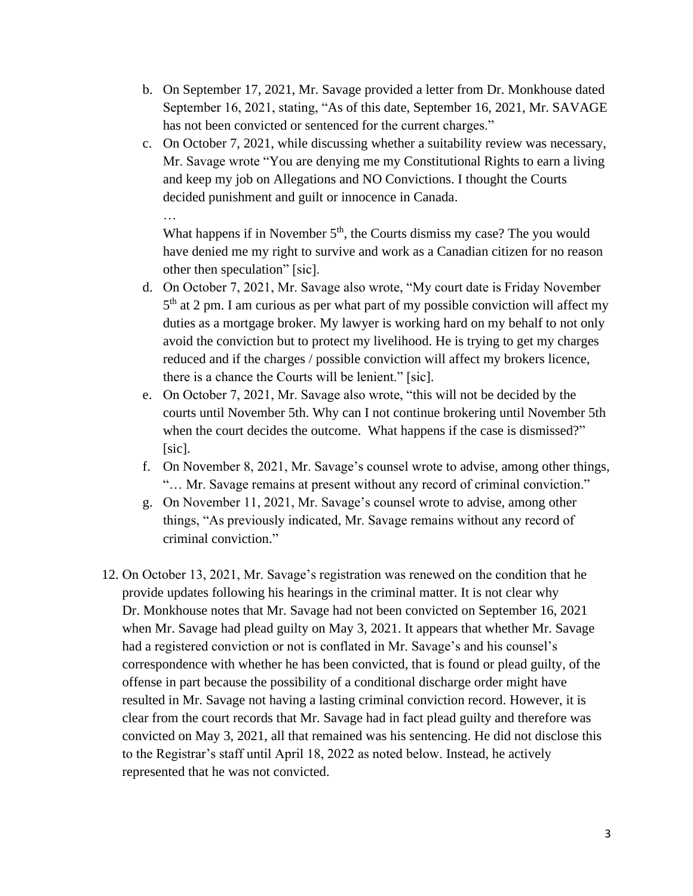- b. On September 17, 2021, Mr. Savage provided a letter from Dr. Monkhouse dated September 16, 2021, stating, "As of this date, September 16, 2021, Mr. SAVAGE has not been convicted or sentenced for the current charges."
- c. On October 7, 2021, while discussing whether a suitability review was necessary, Mr. Savage wrote "You are denying me my Constitutional Rights to earn a living and keep my job on Allegations and NO Convictions. I thought the Courts decided punishment and guilt or innocence in Canada.

…

What happens if in November  $5<sup>th</sup>$ , the Courts dismiss my case? The you would have denied me my right to survive and work as a Canadian citizen for no reason other then speculation" [sic].

- d. On October 7, 2021, Mr. Savage also wrote, "My court date is Friday November 5<sup>th</sup> at 2 pm. I am curious as per what part of my possible conviction will affect my duties as a mortgage broker. My lawyer is working hard on my behalf to not only avoid the conviction but to protect my livelihood. He is trying to get my charges reduced and if the charges / possible conviction will affect my brokers licence, there is a chance the Courts will be lenient." [sic].
- e. On October 7, 2021, Mr. Savage also wrote, "this will not be decided by the courts until November 5th. Why can I not continue brokering until November 5th when the court decides the outcome. What happens if the case is dismissed?" [sic].
- f. On November 8, 2021, Mr. Savage's counsel wrote to advise, among other things, "… Mr. Savage remains at present without any record of criminal conviction."
- g. On November 11, 2021, Mr. Savage's counsel wrote to advise, among other things, "As previously indicated, Mr. Savage remains without any record of criminal conviction."
- 12. On October 13, 2021, Mr. Savage's registration was renewed on the condition that he provide updates following his hearings in the criminal matter. It is not clear why Dr. Monkhouse notes that Mr. Savage had not been convicted on September 16, 2021 when Mr. Savage had plead guilty on May 3, 2021. It appears that whether Mr. Savage had a registered conviction or not is conflated in Mr. Savage's and his counsel's correspondence with whether he has been convicted, that is found or plead guilty, of the offense in part because the possibility of a conditional discharge order might have resulted in Mr. Savage not having a lasting criminal conviction record. However, it is clear from the court records that Mr. Savage had in fact plead guilty and therefore was convicted on May 3, 2021, all that remained was his sentencing. He did not disclose this to the Registrar's staff until April 18, 2022 as noted below. Instead, he actively represented that he was not convicted.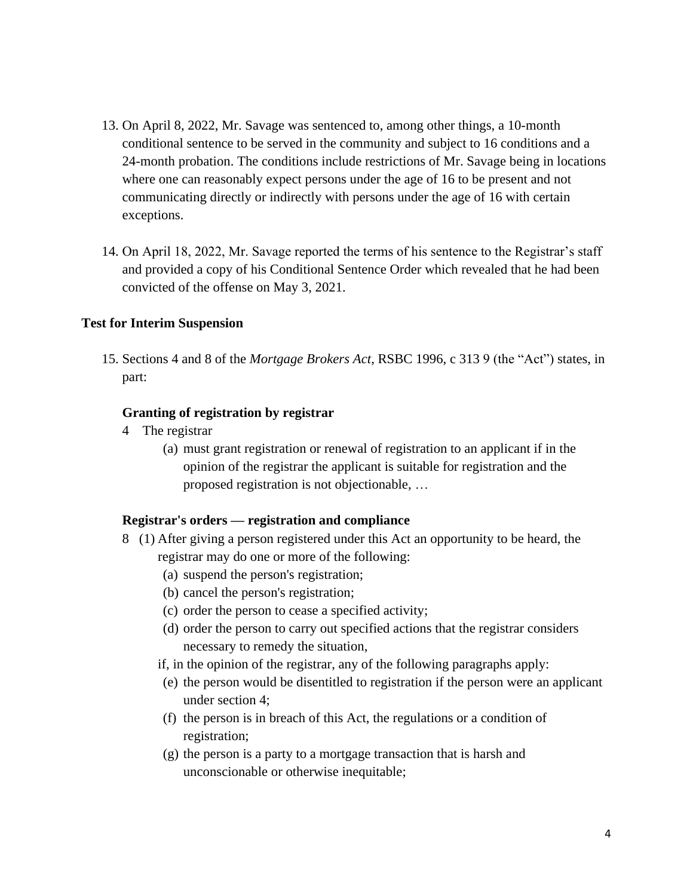- 13. On April 8, 2022, Mr. Savage was sentenced to, among other things, a 10-month conditional sentence to be served in the community and subject to 16 conditions and a 24-month probation. The conditions include restrictions of Mr. Savage being in locations where one can reasonably expect persons under the age of 16 to be present and not communicating directly or indirectly with persons under the age of 16 with certain exceptions.
- 14. On April 18, 2022, Mr. Savage reported the terms of his sentence to the Registrar's staff and provided a copy of his Conditional Sentence Order which revealed that he had been convicted of the offense on May 3, 2021.

#### **Test for Interim Suspension**

15. Sections 4 and 8 of the *Mortgage Brokers Act*, RSBC 1996, c 313 9 (the "Act") states, in part:

#### **Granting of registration by registrar**

- 4 The registrar
	- (a) must grant registration or renewal of registration to an applicant if in the opinion of the registrar the applicant is suitable for registration and the proposed registration is not objectionable, …

#### **Registrar's orders — registration and compliance**

- 8 (1) After giving a person registered under this Act an opportunity to be heard, the registrar may do one or more of the following:
	- (a) suspend the person's registration;
	- (b) cancel the person's registration;
	- (c) order the person to cease a specified activity;
	- (d) order the person to carry out specified actions that the registrar considers necessary to remedy the situation,
	- if, in the opinion of the registrar, any of the following paragraphs apply:
	- (e) the person would be disentitled to registration if the person were an applicant under section 4;
	- (f) the person is in breach of this Act, the regulations or a condition of registration;
	- (g) the person is a party to a mortgage transaction that is harsh and unconscionable or otherwise inequitable;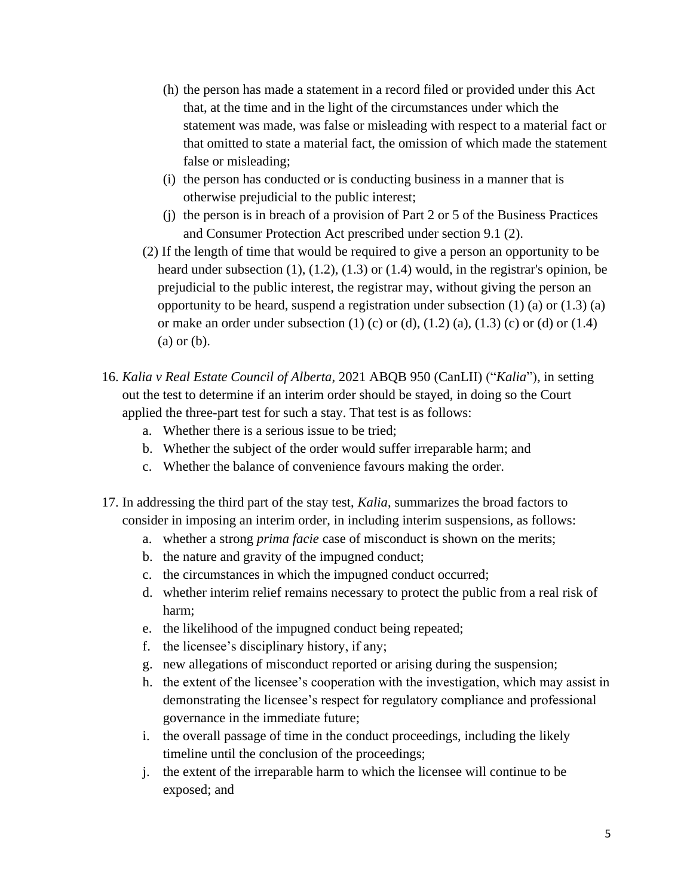- (h) the person has made a statement in a record filed or provided under this Act that, at the time and in the light of the circumstances under which the statement was made, was false or misleading with respect to a material fact or that omitted to state a material fact, the omission of which made the statement false or misleading;
- (i) the person has conducted or is conducting business in a manner that is otherwise prejudicial to the public interest;
- (j) the person is in breach of a provision of Part 2 or 5 of the Business Practices and Consumer Protection Act prescribed under section 9.1 (2).
- (2) If the length of time that would be required to give a person an opportunity to be heard under subsection (1), (1.2), (1.3) or (1.4) would, in the registrar's opinion, be prejudicial to the public interest, the registrar may, without giving the person an opportunity to be heard, suspend a registration under subsection  $(1)$  (a) or  $(1.3)$  (a) or make an order under subsection  $(1)$  (c) or  $(d)$ ,  $(1.2)$   $(a)$ ,  $(1.3)$  (c) or  $(d)$  or  $(1.4)$ (a) or (b).
- 16. *Kalia v Real Estate Council of Alberta*, 2021 ABQB 950 (CanLII) ("*Kalia*"), in setting out the test to determine if an interim order should be stayed, in doing so the Court applied the three-part test for such a stay. That test is as follows:
	- a. Whether there is a serious issue to be tried;
	- b. Whether the subject of the order would suffer irreparable harm; and
	- c. Whether the balance of convenience favours making the order.
- 17. In addressing the third part of the stay test, *Kalia*, summarizes the broad factors to consider in imposing an interim order, in including interim suspensions, as follows:
	- a. whether a strong *prima facie* case of misconduct is shown on the merits;
	- b. the nature and gravity of the impugned conduct;
	- c. the circumstances in which the impugned conduct occurred;
	- d. whether interim relief remains necessary to protect the public from a real risk of harm;
	- e. the likelihood of the impugned conduct being repeated;
	- f. the licensee's disciplinary history, if any;
	- g. new allegations of misconduct reported or arising during the suspension;
	- h. the extent of the licensee's cooperation with the investigation, which may assist in demonstrating the licensee's respect for regulatory compliance and professional governance in the immediate future;
	- i. the overall passage of time in the conduct proceedings, including the likely timeline until the conclusion of the proceedings;
	- j. the extent of the irreparable harm to which the licensee will continue to be exposed; and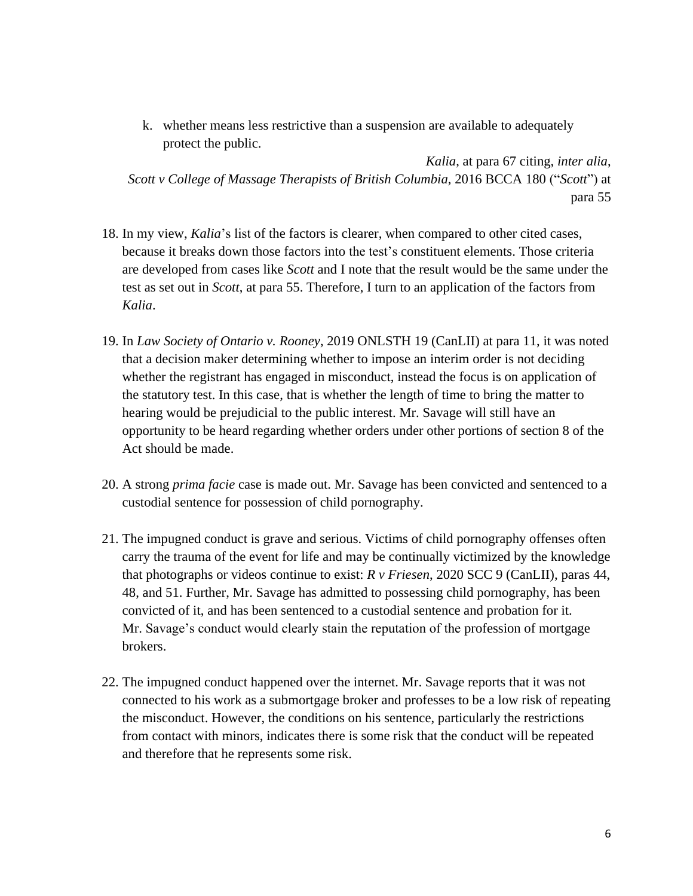k. whether means less restrictive than a suspension are available to adequately protect the public.

*Kalia*, at para 67 citing, *inter alia*, *Scott v College of Massage Therapists of British Columbia*, 2016 BCCA 180 ("*Scott*") at para 55

- 18. In my view, *Kalia*'s list of the factors is clearer, when compared to other cited cases, because it breaks down those factors into the test's constituent elements. Those criteria are developed from cases like *Scott* and I note that the result would be the same under the test as set out in *Scott*, at para 55. Therefore, I turn to an application of the factors from *Kalia*.
- 19. In *Law Society of Ontario v. Rooney*, 2019 ONLSTH 19 (CanLII) at para 11, it was noted that a decision maker determining whether to impose an interim order is not deciding whether the registrant has engaged in misconduct, instead the focus is on application of the statutory test. In this case, that is whether the length of time to bring the matter to hearing would be prejudicial to the public interest. Mr. Savage will still have an opportunity to be heard regarding whether orders under other portions of section 8 of the Act should be made.
- 20. A strong *prima facie* case is made out. Mr. Savage has been convicted and sentenced to a custodial sentence for possession of child pornography.
- 21. The impugned conduct is grave and serious. Victims of child pornography offenses often carry the trauma of the event for life and may be continually victimized by the knowledge that photographs or videos continue to exist: *R v Friesen*, 2020 SCC 9 (CanLII), paras 44, 48, and 51. Further, Mr. Savage has admitted to possessing child pornography, has been convicted of it, and has been sentenced to a custodial sentence and probation for it. Mr. Savage's conduct would clearly stain the reputation of the profession of mortgage brokers.
- 22. The impugned conduct happened over the internet. Mr. Savage reports that it was not connected to his work as a submortgage broker and professes to be a low risk of repeating the misconduct. However, the conditions on his sentence, particularly the restrictions from contact with minors, indicates there is some risk that the conduct will be repeated and therefore that he represents some risk.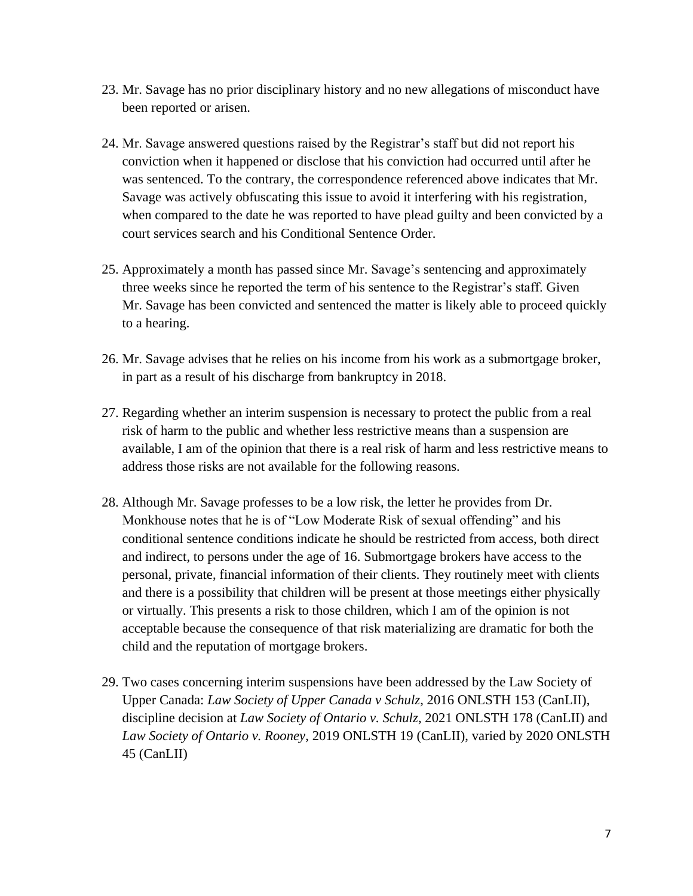- 23. Mr. Savage has no prior disciplinary history and no new allegations of misconduct have been reported or arisen.
- 24. Mr. Savage answered questions raised by the Registrar's staff but did not report his conviction when it happened or disclose that his conviction had occurred until after he was sentenced. To the contrary, the correspondence referenced above indicates that Mr. Savage was actively obfuscating this issue to avoid it interfering with his registration, when compared to the date he was reported to have plead guilty and been convicted by a court services search and his Conditional Sentence Order.
- 25. Approximately a month has passed since Mr. Savage's sentencing and approximately three weeks since he reported the term of his sentence to the Registrar's staff. Given Mr. Savage has been convicted and sentenced the matter is likely able to proceed quickly to a hearing.
- 26. Mr. Savage advises that he relies on his income from his work as a submortgage broker, in part as a result of his discharge from bankruptcy in 2018.
- 27. Regarding whether an interim suspension is necessary to protect the public from a real risk of harm to the public and whether less restrictive means than a suspension are available, I am of the opinion that there is a real risk of harm and less restrictive means to address those risks are not available for the following reasons.
- 28. Although Mr. Savage professes to be a low risk, the letter he provides from Dr. Monkhouse notes that he is of "Low Moderate Risk of sexual offending" and his conditional sentence conditions indicate he should be restricted from access, both direct and indirect, to persons under the age of 16. Submortgage brokers have access to the personal, private, financial information of their clients. They routinely meet with clients and there is a possibility that children will be present at those meetings either physically or virtually. This presents a risk to those children, which I am of the opinion is not acceptable because the consequence of that risk materializing are dramatic for both the child and the reputation of mortgage brokers.
- 29. Two cases concerning interim suspensions have been addressed by the Law Society of Upper Canada: *Law Society of Upper Canada v Schulz*, 2016 ONLSTH 153 (CanLII), discipline decision at *Law Society of Ontario v. Schulz*, 2021 ONLSTH 178 (CanLII) and *Law Society of Ontario v. Rooney*, 2019 ONLSTH 19 (CanLII), varied by 2020 ONLSTH 45 (CanLII)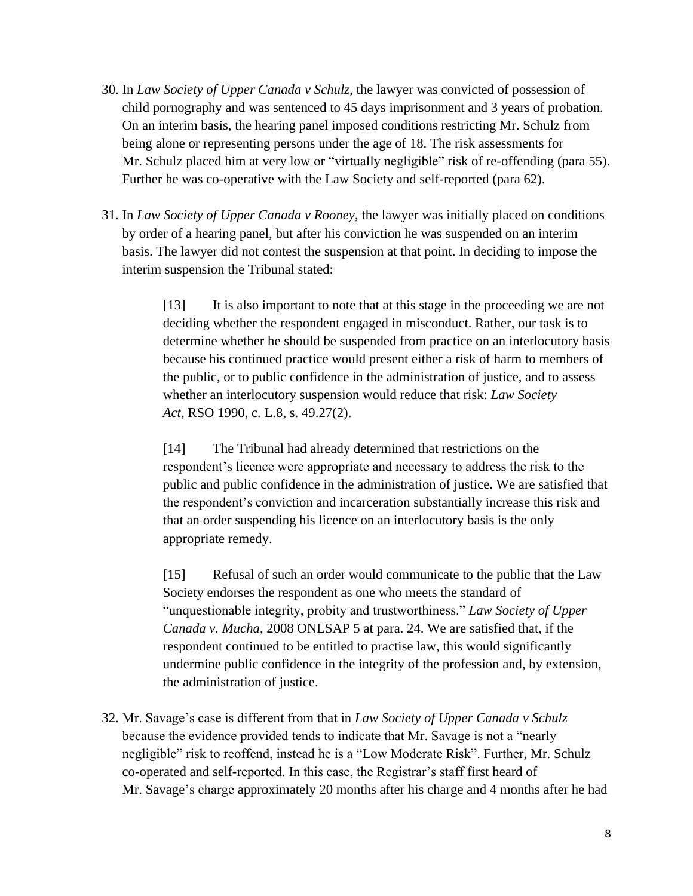- 30. In *Law Society of Upper Canada v Schulz*, the lawyer was convicted of possession of child pornography and was sentenced to 45 days imprisonment and 3 years of probation. On an interim basis, the hearing panel imposed conditions restricting Mr. Schulz from being alone or representing persons under the age of 18. The risk assessments for Mr. Schulz placed him at very low or "virtually negligible" risk of re-offending (para 55). Further he was co-operative with the Law Society and self-reported (para 62).
- 31. In *Law Society of Upper Canada v Rooney*, the lawyer was initially placed on conditions by order of a hearing panel, but after his conviction he was suspended on an interim basis. The lawyer did not contest the suspension at that point. In deciding to impose the interim suspension the Tribunal stated:

[13] It is also important to note that at this stage in the proceeding we are not deciding whether the respondent engaged in misconduct. Rather, our task is to determine whether he should be suspended from practice on an interlocutory basis because his continued practice would present either a risk of harm to members of the public, or to public confidence in the administration of justice, and to assess whether an interlocutory suspension would reduce that risk: *Law Society Act*, RSO 1990, c. L.8, s. 49.27(2).

[14] The Tribunal had already determined that restrictions on the respondent's licence were appropriate and necessary to address the risk to the public and public confidence in the administration of justice. We are satisfied that the respondent's conviction and incarceration substantially increase this risk and that an order suspending his licence on an interlocutory basis is the only appropriate remedy.

[15] Refusal of such an order would communicate to the public that the Law Society endorses the respondent as one who meets the standard of "unquestionable integrity, probity and trustworthiness." *Law Society of Upper Canada v. Mucha*, 2008 ONLSAP 5 at para. 24. We are satisfied that, if the respondent continued to be entitled to practise law, this would significantly undermine public confidence in the integrity of the profession and, by extension, the administration of justice.

32. Mr. Savage's case is different from that in *Law Society of Upper Canada v Schulz* because the evidence provided tends to indicate that Mr. Savage is not a "nearly negligible" risk to reoffend, instead he is a "Low Moderate Risk". Further, Mr. Schulz co-operated and self-reported. In this case, the Registrar's staff first heard of Mr. Savage's charge approximately 20 months after his charge and 4 months after he had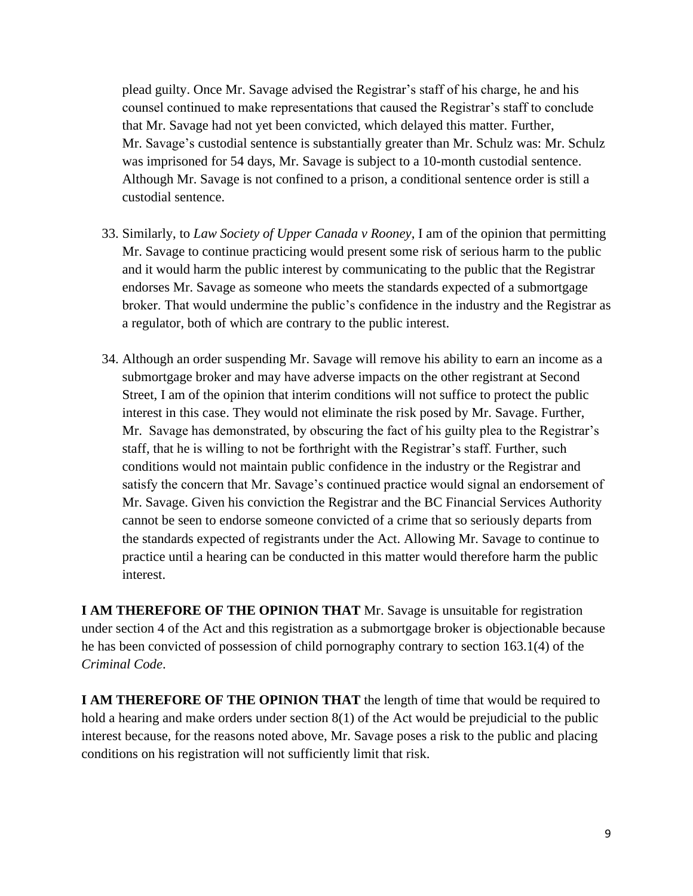plead guilty. Once Mr. Savage advised the Registrar's staff of his charge, he and his counsel continued to make representations that caused the Registrar's staff to conclude that Mr. Savage had not yet been convicted, which delayed this matter. Further, Mr. Savage's custodial sentence is substantially greater than Mr. Schulz was: Mr. Schulz was imprisoned for 54 days, Mr. Savage is subject to a 10-month custodial sentence. Although Mr. Savage is not confined to a prison, a conditional sentence order is still a custodial sentence.

- 33. Similarly, to *Law Society of Upper Canada v Rooney*, I am of the opinion that permitting Mr. Savage to continue practicing would present some risk of serious harm to the public and it would harm the public interest by communicating to the public that the Registrar endorses Mr. Savage as someone who meets the standards expected of a submortgage broker. That would undermine the public's confidence in the industry and the Registrar as a regulator, both of which are contrary to the public interest.
- 34. Although an order suspending Mr. Savage will remove his ability to earn an income as a submortgage broker and may have adverse impacts on the other registrant at Second Street, I am of the opinion that interim conditions will not suffice to protect the public interest in this case. They would not eliminate the risk posed by Mr. Savage. Further, Mr. Savage has demonstrated, by obscuring the fact of his guilty plea to the Registrar's staff, that he is willing to not be forthright with the Registrar's staff. Further, such conditions would not maintain public confidence in the industry or the Registrar and satisfy the concern that Mr. Savage's continued practice would signal an endorsement of Mr. Savage. Given his conviction the Registrar and the BC Financial Services Authority cannot be seen to endorse someone convicted of a crime that so seriously departs from the standards expected of registrants under the Act. Allowing Mr. Savage to continue to practice until a hearing can be conducted in this matter would therefore harm the public interest.

**I AM THEREFORE OF THE OPINION THAT** Mr. Savage is unsuitable for registration under section 4 of the Act and this registration as a submortgage broker is objectionable because he has been convicted of possession of child pornography contrary to section 163.1(4) of the *Criminal Code*.

**I AM THEREFORE OF THE OPINION THAT** the length of time that would be required to hold a hearing and make orders under section 8(1) of the Act would be prejudicial to the public interest because, for the reasons noted above, Mr. Savage poses a risk to the public and placing conditions on his registration will not sufficiently limit that risk.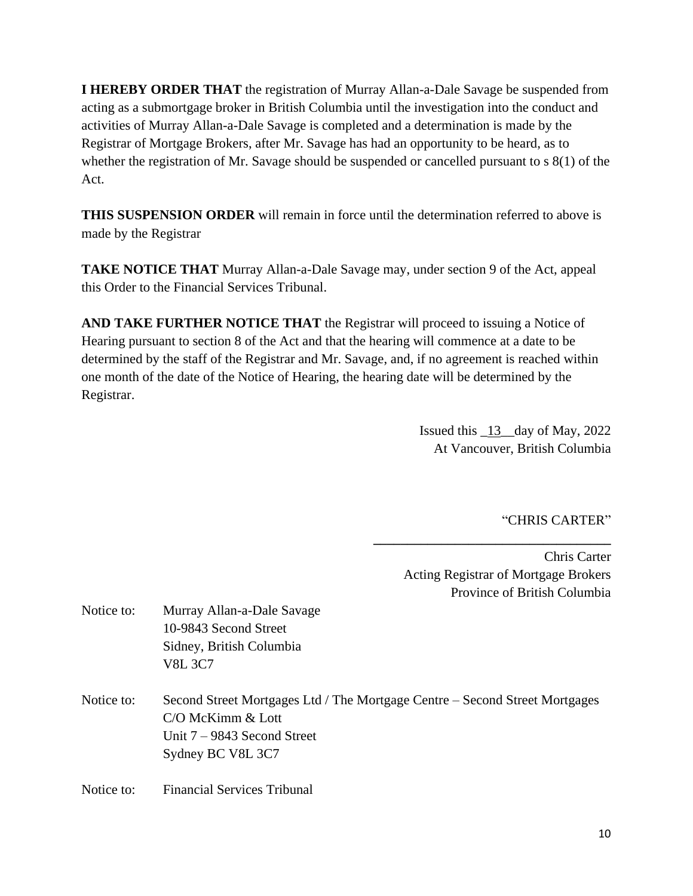**I HEREBY ORDER THAT** the registration of Murray Allan-a-Dale Savage be suspended from acting as a submortgage broker in British Columbia until the investigation into the conduct and activities of Murray Allan-a-Dale Savage is completed and a determination is made by the Registrar of Mortgage Brokers, after Mr. Savage has had an opportunity to be heard, as to whether the registration of Mr. Savage should be suspended or cancelled pursuant to s 8(1) of the Act.

**THIS SUSPENSION ORDER** will remain in force until the determination referred to above is made by the Registrar

**TAKE NOTICE THAT** Murray Allan-a-Dale Savage may, under section 9 of the Act, appeal this Order to the Financial Services Tribunal.

**AND TAKE FURTHER NOTICE THAT** the Registrar will proceed to issuing a Notice of Hearing pursuant to section 8 of the Act and that the hearing will commence at a date to be determined by the staff of the Registrar and Mr. Savage, and, if no agreement is reached within one month of the date of the Notice of Hearing, the hearing date will be determined by the Registrar.

> Issued this \_13\_\_day of May, 2022 At Vancouver, British Columbia

# "CHRIS CARTER"

Chris Carter Acting Registrar of Mortgage Brokers Province of British Columbia

**\_\_\_\_\_\_\_\_\_\_\_\_\_\_\_\_\_\_\_\_\_\_\_\_\_\_\_\_\_\_\_\_\_\_\_**

| Notice to: | Murray Allan-a-Dale Savage                                                  |
|------------|-----------------------------------------------------------------------------|
|            | 10-9843 Second Street                                                       |
|            | Sidney, British Columbia                                                    |
|            | <b>V8L 3C7</b>                                                              |
| Notice to: | Second Street Mortgages Ltd / The Mortgage Centre – Second Street Mortgages |
|            | C/O McKimm & Lott                                                           |
|            | Unit $7 - 9843$ Second Street                                               |
|            | Sydney BC V8L 3C7                                                           |
| Notice to: | <b>Financial Services Tribunal</b>                                          |